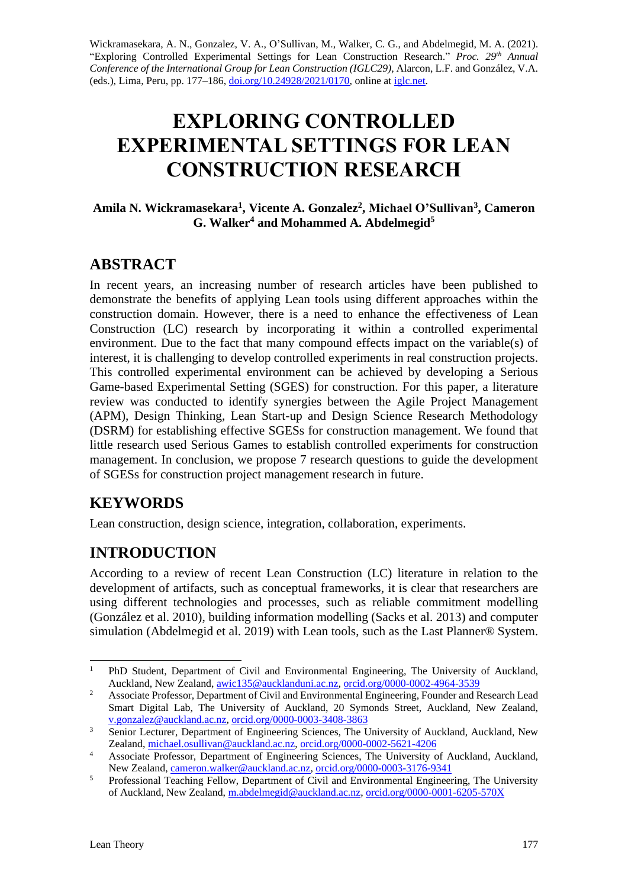Wickramasekara, A. N., Gonzalez, V. A., O'Sullivan, M., Walker, C. G., and Abdelmegid, M. A. (2021). "Exploring Controlled Experimental Settings for Lean Construction Research." *Proc. 29 th Annual Conference of the International Group for Lean Construction (IGLC29),* Alarcon, L.F. and González, V.A. (eds.)*,* Lima, Peru, pp. 177–186, [doi.org/10.24928/2021/0170,](https://doi.org/10.24928/2021/0170) online a[t iglc.net.](http://iglc.net/)

# **EXPLORING CONTROLLED EXPERIMENTAL SETTINGS FOR LEAN CONSTRUCTION RESEARCH**

#### **Amila N. Wickramasekara<sup>1</sup> , Vicente A. Gonzalez<sup>2</sup> , Michael O'Sullivan<sup>3</sup> , Cameron G. Walker<sup>4</sup> and Mohammed A. Abdelmegid<sup>5</sup>**

## **ABSTRACT**

In recent years, an increasing number of research articles have been published to demonstrate the benefits of applying Lean tools using different approaches within the construction domain. However, there is a need to enhance the effectiveness of Lean Construction (LC) research by incorporating it within a controlled experimental environment. Due to the fact that many compound effects impact on the variable(s) of interest, it is challenging to develop controlled experiments in real construction projects. This controlled experimental environment can be achieved by developing a Serious Game-based Experimental Setting (SGES) for construction. For this paper, a literature review was conducted to identify synergies between the Agile Project Management (APM), Design Thinking, Lean Start-up and Design Science Research Methodology (DSRM) for establishing effective SGESs for construction management. We found that little research used Serious Games to establish controlled experiments for construction management. In conclusion, we propose 7 research questions to guide the development of SGESs for construction project management research in future.

## **KEYWORDS**

Lean construction, design science, integration, collaboration, experiments.

# **INTRODUCTION**

According to a review of recent Lean Construction (LC) literature in relation to the development of artifacts, such as conceptual frameworks, it is clear that researchers are using different technologies and processes, such as reliable commitment modelling (González et al. 2010), building information modelling (Sacks et al. 2013) and computer simulation (Abdelmegid et al. 2019) with Lean tools, such as the Last Planner® System.

<sup>&</sup>lt;sup>1</sup> PhD Student, Department of Civil and Environmental Engineering, The University of Auckland, Auckland, New Zealand, [awic135@aucklanduni.ac.nz,](mailto:awic135@aucklanduni.ac.nz) [orcid.org/0000-0002-4964-3539](https://orcid.org/0000-0002-4964-3539)

<sup>&</sup>lt;sup>2</sup> Associate Professor, Department of Civil and Environmental Engineering, Founder and Research Lead Smart Digital Lab, The University of Auckland, 20 Symonds Street, Auckland, New Zealand, [v.gonzalez@auckland.ac.nz,](mailto:v.gonzalez@auckland.ac.nz) [orcid.org/0000-0003-3408-3863](https://orcid.org/0000-0003-3408-3863)

<sup>&</sup>lt;sup>3</sup> Senior Lecturer, Department of Engineering Sciences, The University of Auckland, Auckland, New Zealand, [michael.osullivan@auckland.ac.nz,](mailto:michael.osullivan@auckland.ac.nz) [orcid.org/0000-0002-5621-4206](https://orcid.org/0000-0002-5621-4206)

<sup>4</sup> Associate Professor, Department of Engineering Sciences, The University of Auckland, Auckland, New Zealand, [cameron.walker@auckland.ac.nz,](mailto:cameron.walker@auckland.ac.nz) [orcid.org/0000-0003-3176-9341](https://orcid.org/0000-0003-3176-9341)

<sup>&</sup>lt;sup>5</sup> Professional Teaching Fellow, Department of Civil and Environmental Engineering, The University of Auckland, New Zealand, [m.abdelmegid@auckland.ac.nz,](mailto:m.abdelmegid@auckland.ac.nz) [orcid.org/0000-0001-6205-570X](https://orcid.org/0000-0001-6205-570X)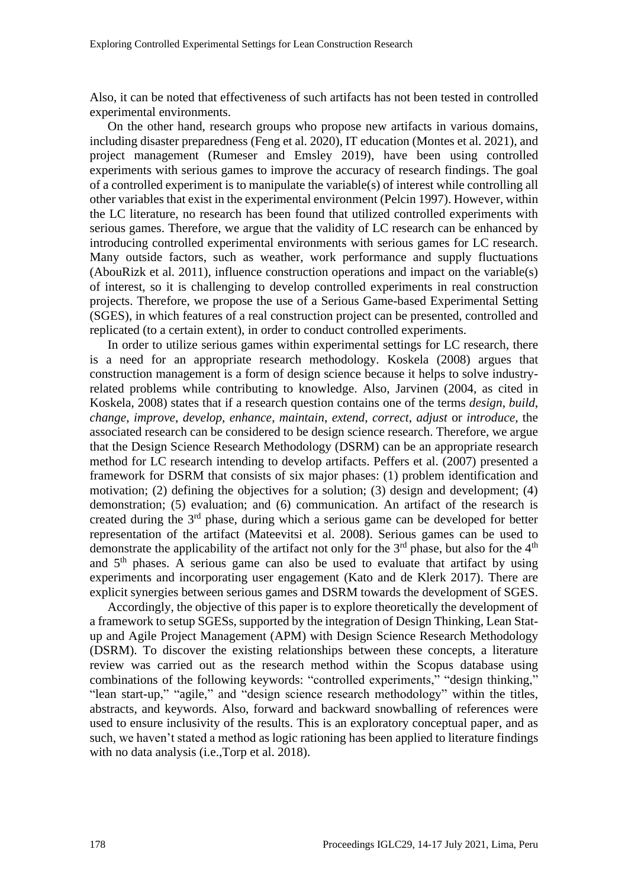Also, it can be noted that effectiveness of such artifacts has not been tested in controlled experimental environments.

On the other hand, research groups who propose new artifacts in various domains, including disaster preparedness (Feng et al. 2020), IT education (Montes et al. 2021), and project management (Rumeser and Emsley 2019), have been using controlled experiments with serious games to improve the accuracy of research findings. The goal of a controlled experiment is to manipulate the variable(s) of interest while controlling all other variables that exist in the experimental environment (Pelcin 1997). However, within the LC literature, no research has been found that utilized controlled experiments with serious games. Therefore, we argue that the validity of LC research can be enhanced by introducing controlled experimental environments with serious games for LC research. Many outside factors, such as weather, work performance and supply fluctuations (AbouRizk et al. 2011), influence construction operations and impact on the variable(s) of interest, so it is challenging to develop controlled experiments in real construction projects. Therefore, we propose the use of a Serious Game-based Experimental Setting (SGES), in which features of a real construction project can be presented, controlled and replicated (to a certain extent), in order to conduct controlled experiments.

In order to utilize serious games within experimental settings for LC research, there is a need for an appropriate research methodology. Koskela (2008) argues that construction management is a form of design science because it helps to solve industryrelated problems while contributing to knowledge. Also, Jarvinen (2004, as cited in Koskela, 2008) states that if a research question contains one of the terms *design*, *build*, *change*, *improve*, *develop*, *enhance*, *maintain*, *extend*, *correct*, *adjust* or *introduce*, the associated research can be considered to be design science research. Therefore, we argue that the Design Science Research Methodology (DSRM) can be an appropriate research method for LC research intending to develop artifacts. Peffers et al. (2007) presented a framework for DSRM that consists of six major phases: (1) problem identification and motivation; (2) defining the objectives for a solution; (3) design and development; (4) demonstration; (5) evaluation; and (6) communication. An artifact of the research is created during the 3rd phase, during which a serious game can be developed for better representation of the artifact (Mateevitsi et al. 2008). Serious games can be used to demonstrate the applicability of the artifact not only for the  $3<sup>rd</sup>$  phase, but also for the  $4<sup>th</sup>$ and  $5<sup>th</sup>$  phases. A serious game can also be used to evaluate that artifact by using experiments and incorporating user engagement (Kato and de Klerk 2017). There are explicit synergies between serious games and DSRM towards the development of SGES.

Accordingly, the objective of this paper is to explore theoretically the development of a framework to setup SGESs, supported by the integration of Design Thinking, Lean Statup and Agile Project Management (APM) with Design Science Research Methodology (DSRM). To discover the existing relationships between these concepts, a literature review was carried out as the research method within the Scopus database using combinations of the following keywords: "controlled experiments," "design thinking," "lean start-up," "agile," and "design science research methodology" within the titles, abstracts, and keywords. Also, forward and backward snowballing of references were used to ensure inclusivity of the results. This is an exploratory conceptual paper, and as such, we haven't stated a method as logic rationing has been applied to literature findings with no data analysis (i.e.,Torp et al. 2018).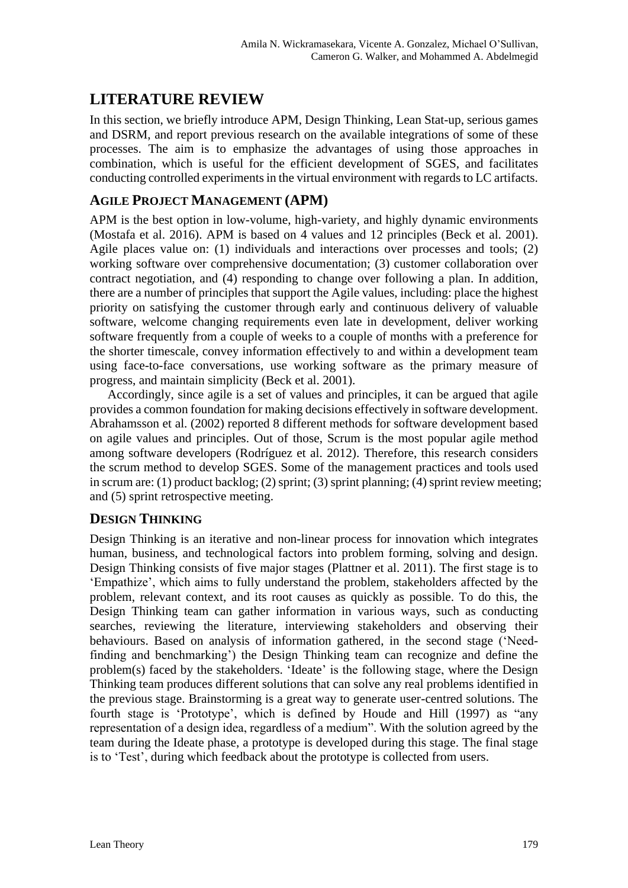# **LITERATURE REVIEW**

In this section, we briefly introduce APM, Design Thinking, Lean Stat-up, serious games and DSRM, and report previous research on the available integrations of some of these processes. The aim is to emphasize the advantages of using those approaches in combination, which is useful for the efficient development of SGES, and facilitates conducting controlled experiments in the virtual environment with regards to LC artifacts.

#### **AGILE PROJECT MANAGEMENT (APM)**

APM is the best option in low-volume, high-variety, and highly dynamic environments (Mostafa et al. 2016). APM is based on 4 values and 12 principles (Beck et al. 2001). Agile places value on: (1) individuals and interactions over processes and tools; (2) working software over comprehensive documentation; (3) customer collaboration over contract negotiation, and (4) responding to change over following a plan. In addition, there are a number of principles that support the Agile values, including: place the highest priority on satisfying the customer through early and continuous delivery of valuable software, welcome changing requirements even late in development, deliver working software frequently from a couple of weeks to a couple of months with a preference for the shorter timescale, convey information effectively to and within a development team using face-to-face conversations, use working software as the primary measure of progress, and maintain simplicity (Beck et al. 2001).

Accordingly, since agile is a set of values and principles, it can be argued that agile provides a common foundation for making decisions effectively in software development. Abrahamsson et al. (2002) reported 8 different methods for software development based on agile values and principles. Out of those, Scrum is the most popular agile method among software developers (Rodríguez et al. 2012). Therefore, this research considers the scrum method to develop SGES. Some of the management practices and tools used in scrum are: (1) product backlog; (2) sprint; (3) sprint planning; (4) sprint review meeting; and (5) sprint retrospective meeting.

#### **DESIGN THINKING**

Design Thinking is an iterative and non-linear process for innovation which integrates human, business, and technological factors into problem forming, solving and design. Design Thinking consists of five major stages (Plattner et al. 2011). The first stage is to 'Empathize', which aims to fully understand the problem, stakeholders affected by the problem, relevant context, and its root causes as quickly as possible. To do this, the Design Thinking team can gather information in various ways, such as conducting searches, reviewing the literature, interviewing stakeholders and observing their behaviours. Based on analysis of information gathered, in the second stage ('Needfinding and benchmarking') the Design Thinking team can recognize and define the problem(s) faced by the stakeholders. 'Ideate' is the following stage, where the Design Thinking team produces different solutions that can solve any real problems identified in the previous stage. Brainstorming is a great way to generate user-centred solutions. The fourth stage is 'Prototype', which is defined by Houde and Hill (1997) as "any representation of a design idea, regardless of a medium". With the solution agreed by the team during the Ideate phase, a prototype is developed during this stage. The final stage is to 'Test', during which feedback about the prototype is collected from users.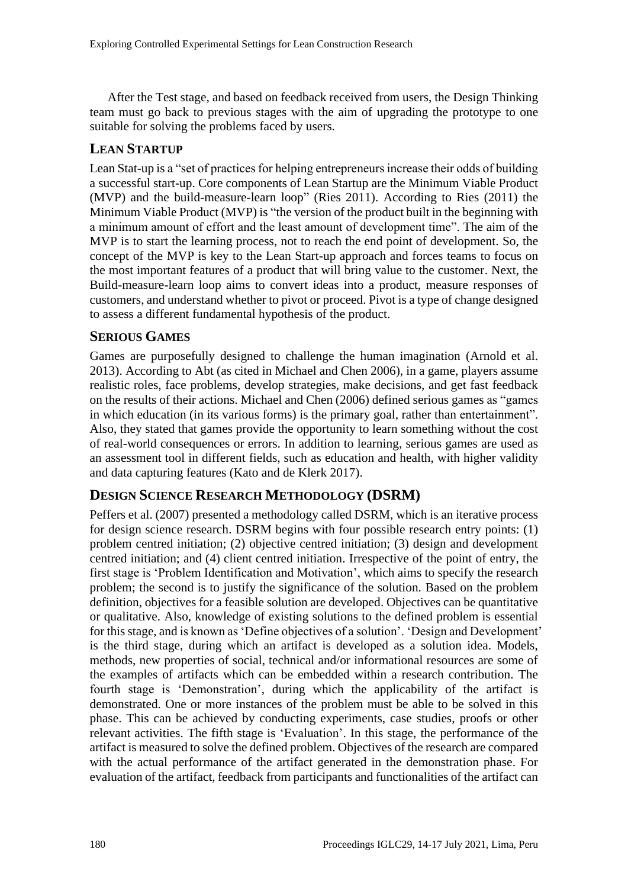After the Test stage, and based on feedback received from users, the Design Thinking team must go back to previous stages with the aim of upgrading the prototype to one suitable for solving the problems faced by users.

#### **LEAN STARTUP**

Lean Stat-up is a "set of practices for helping entrepreneurs increase their odds of building a successful start-up. Core components of Lean Startup are the Minimum Viable Product (MVP) and the build-measure-learn loop" (Ries 2011). According to Ries (2011) the Minimum Viable Product (MVP) is "the version of the product built in the beginning with a minimum amount of effort and the least amount of development time". The aim of the MVP is to start the learning process, not to reach the end point of development. So, the concept of the MVP is key to the Lean Start-up approach and forces teams to focus on the most important features of a product that will bring value to the customer. Next, the Build-measure-learn loop aims to convert ideas into a product, measure responses of customers, and understand whether to pivot or proceed. Pivot is a type of change designed to assess a different fundamental hypothesis of the product.

#### **SERIOUS GAMES**

Games are purposefully designed to challenge the human imagination (Arnold et al. 2013). According to Abt (as cited in Michael and Chen 2006), in a game, players assume realistic roles, face problems, develop strategies, make decisions, and get fast feedback on the results of their actions. Michael and Chen (2006) defined serious games as "games in which education (in its various forms) is the primary goal, rather than entertainment". Also, they stated that games provide the opportunity to learn something without the cost of real-world consequences or errors. In addition to learning, serious games are used as an assessment tool in different fields, such as education and health, with higher validity and data capturing features (Kato and de Klerk 2017).

#### **DESIGN SCIENCE RESEARCH METHODOLOGY (DSRM)**

Peffers et al. (2007) presented a methodology called DSRM, which is an iterative process for design science research. DSRM begins with four possible research entry points: (1) problem centred initiation; (2) objective centred initiation; (3) design and development centred initiation; and (4) client centred initiation. Irrespective of the point of entry, the first stage is 'Problem Identification and Motivation', which aims to specify the research problem; the second is to justify the significance of the solution. Based on the problem definition, objectives for a feasible solution are developed. Objectives can be quantitative or qualitative. Also, knowledge of existing solutions to the defined problem is essential for this stage, and is known as 'Define objectives of a solution'. 'Design and Development' is the third stage, during which an artifact is developed as a solution idea. Models, methods, new properties of social, technical and/or informational resources are some of the examples of artifacts which can be embedded within a research contribution. The fourth stage is 'Demonstration', during which the applicability of the artifact is demonstrated. One or more instances of the problem must be able to be solved in this phase. This can be achieved by conducting experiments, case studies, proofs or other relevant activities. The fifth stage is 'Evaluation'. In this stage, the performance of the artifact is measured to solve the defined problem. Objectives of the research are compared with the actual performance of the artifact generated in the demonstration phase. For evaluation of the artifact, feedback from participants and functionalities of the artifact can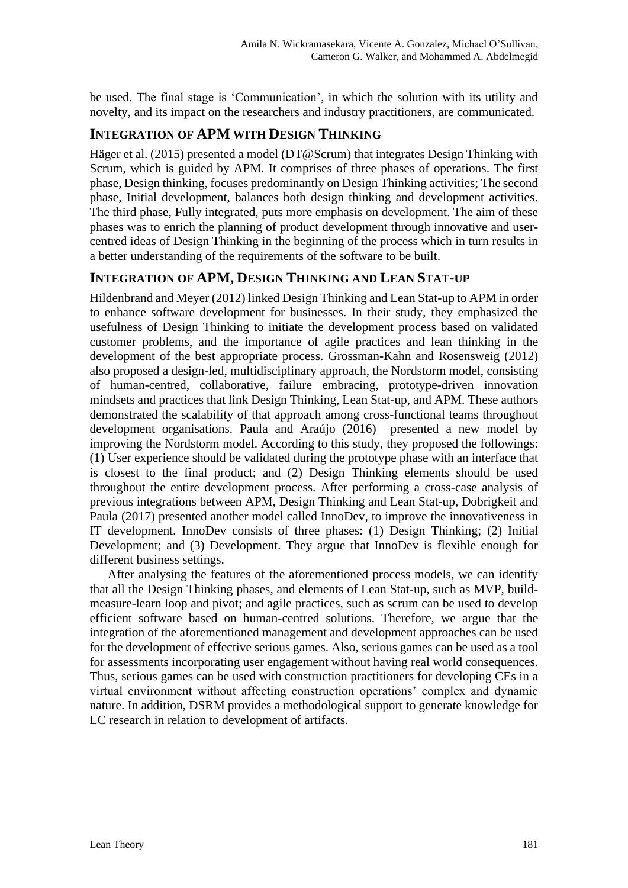be used. The final stage is 'Communication', in which the solution with its utility and novelty, and its impact on the researchers and industry practitioners, are communicated.

#### **INTEGRATION OF APM WITH DESIGN THINKING**

Häger et al. (2015) presented a model (DT@Scrum) that integrates Design Thinking with Scrum, which is guided by APM. It comprises of three phases of operations. The first phase, Design thinking, focuses predominantly on Design Thinking activities; The second phase, Initial development, balances both design thinking and development activities. The third phase, Fully integrated, puts more emphasis on development. The aim of these phases was to enrich the planning of product development through innovative and usercentred ideas of Design Thinking in the beginning of the process which in turn results in a better understanding of the requirements of the software to be built.

#### **INTEGRATION OF APM, DESIGN THINKING AND LEAN STAT-UP**

Hildenbrand and Meyer (2012) linked Design Thinking and Lean Stat-up to APM in order to enhance software development for businesses. In their study, they emphasized the usefulness of Design Thinking to initiate the development process based on validated customer problems, and the importance of agile practices and lean thinking in the development of the best appropriate process. Grossman-Kahn and Rosensweig (2012) also proposed a design-led, multidisciplinary approach, the Nordstorm model, consisting of human-centred, collaborative, failure embracing, prototype-driven innovation mindsets and practices that link Design Thinking, Lean Stat-up, and APM. These authors demonstrated the scalability of that approach among cross-functional teams throughout development organisations. Paula and Araújo (2016) presented a new model by improving the Nordstorm model. According to this study, they proposed the followings: (1) User experience should be validated during the prototype phase with an interface that is closest to the final product; and (2) Design Thinking elements should be used throughout the entire development process. After performing a cross-case analysis of previous integrations between APM, Design Thinking and Lean Stat-up, Dobrigkeit and Paula (2017) presented another model called InnoDev, to improve the innovativeness in IT development. InnoDev consists of three phases: (1) Design Thinking; (2) Initial Development; and (3) Development. They argue that InnoDev is flexible enough for different business settings.

After analysing the features of the aforementioned process models, we can identify that all the Design Thinking phases, and elements of Lean Stat-up, such as MVP, buildmeasure-learn loop and pivot; and agile practices, such as scrum can be used to develop efficient software based on human-centred solutions. Therefore, we argue that the integration of the aforementioned management and development approaches can be used for the development of effective serious games. Also, serious games can be used as a tool for assessments incorporating user engagement without having real world consequences. Thus, serious games can be used with construction practitioners for developing CEs in a virtual environment without affecting construction operations' complex and dynamic nature. In addition, DSRM provides a methodological support to generate knowledge for LC research in relation to development of artifacts.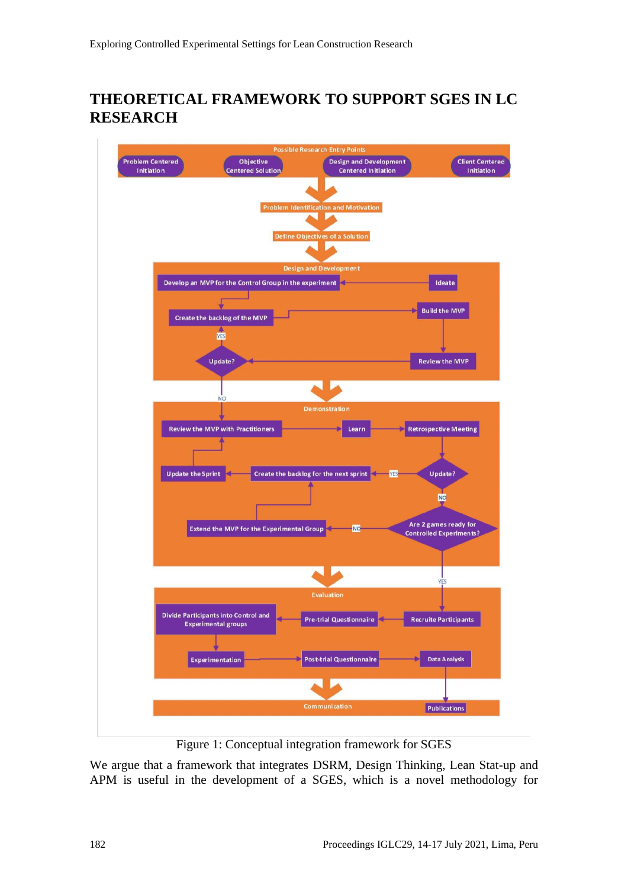## **THEORETICAL FRAMEWORK TO SUPPORT SGES IN LC RESEARCH**



Figure 1: Conceptual integration framework for SGES

We argue that a framework that integrates DSRM, Design Thinking, Lean Stat-up and APM is useful in the development of a SGES, which is a novel methodology for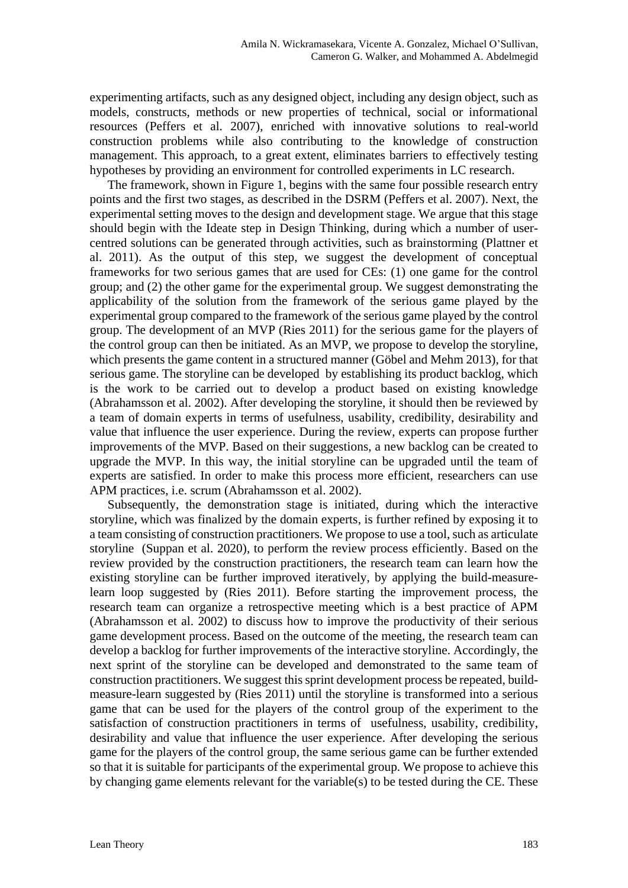experimenting artifacts, such as any designed object, including any design object, such as models, constructs, methods or new properties of technical, social or informational resources (Peffers et al. 2007), enriched with innovative solutions to real-world construction problems while also contributing to the knowledge of construction management. This approach, to a great extent, eliminates barriers to effectively testing hypotheses by providing an environment for controlled experiments in LC research.

The framework, shown in Figure 1, begins with the same four possible research entry points and the first two stages, as described in the DSRM (Peffers et al. 2007). Next, the experimental setting moves to the design and development stage. We argue that this stage should begin with the Ideate step in Design Thinking, during which a number of usercentred solutions can be generated through activities, such as brainstorming (Plattner et al. 2011). As the output of this step, we suggest the development of conceptual frameworks for two serious games that are used for CEs: (1) one game for the control group; and (2) the other game for the experimental group. We suggest demonstrating the applicability of the solution from the framework of the serious game played by the experimental group compared to the framework of the serious game played by the control group. The development of an MVP (Ries 2011) for the serious game for the players of the control group can then be initiated. As an MVP, we propose to develop the storyline, which presents the game content in a structured manner (Göbel and Mehm 2013), for that serious game. The storyline can be developed by establishing its product backlog, which is the work to be carried out to develop a product based on existing knowledge (Abrahamsson et al. 2002). After developing the storyline, it should then be reviewed by a team of domain experts in terms of usefulness, usability, credibility, desirability and value that influence the user experience. During the review, experts can propose further improvements of the MVP. Based on their suggestions, a new backlog can be created to upgrade the MVP. In this way, the initial storyline can be upgraded until the team of experts are satisfied. In order to make this process more efficient, researchers can use APM practices, i.e. scrum (Abrahamsson et al. 2002).

Subsequently, the demonstration stage is initiated, during which the interactive storyline, which was finalized by the domain experts, is further refined by exposing it to a team consisting of construction practitioners. We propose to use a tool, such as articulate storyline (Suppan et al. 2020), to perform the review process efficiently. Based on the review provided by the construction practitioners, the research team can learn how the existing storyline can be further improved iteratively, by applying the build-measurelearn loop suggested by (Ries 2011). Before starting the improvement process, the research team can organize a retrospective meeting which is a best practice of APM (Abrahamsson et al. 2002) to discuss how to improve the productivity of their serious game development process. Based on the outcome of the meeting, the research team can develop a backlog for further improvements of the interactive storyline. Accordingly, the next sprint of the storyline can be developed and demonstrated to the same team of construction practitioners. We suggest this sprint development process be repeated, buildmeasure-learn suggested by (Ries 2011) until the storyline is transformed into a serious game that can be used for the players of the control group of the experiment to the satisfaction of construction practitioners in terms of usefulness, usability, credibility, desirability and value that influence the user experience. After developing the serious game for the players of the control group, the same serious game can be further extended so that it is suitable for participants of the experimental group. We propose to achieve this by changing game elements relevant for the variable(s) to be tested during the CE. These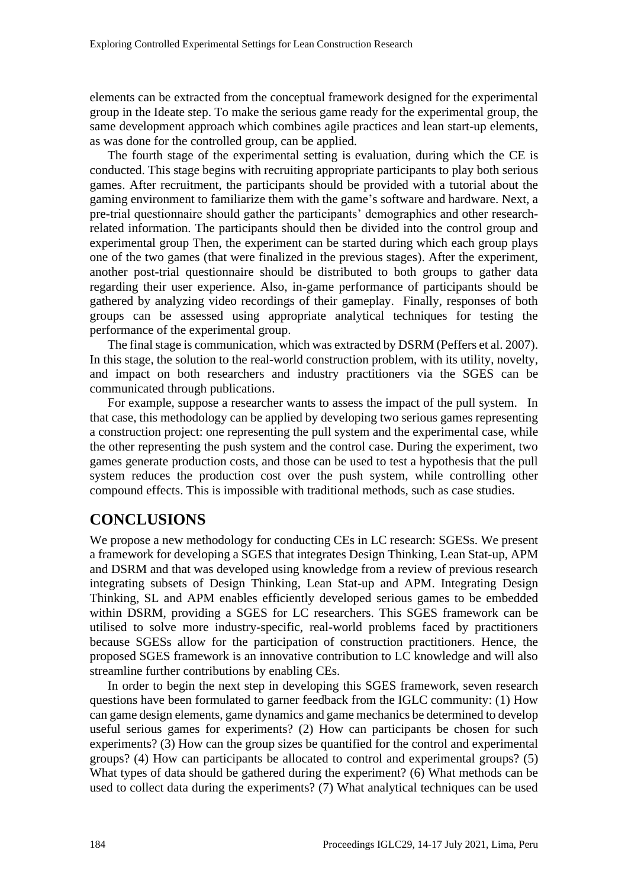elements can be extracted from the conceptual framework designed for the experimental group in the Ideate step. To make the serious game ready for the experimental group, the same development approach which combines agile practices and lean start-up elements, as was done for the controlled group, can be applied.

The fourth stage of the experimental setting is evaluation, during which the CE is conducted. This stage begins with recruiting appropriate participants to play both serious games. After recruitment, the participants should be provided with a tutorial about the gaming environment to familiarize them with the game's software and hardware. Next, a pre-trial questionnaire should gather the participants' demographics and other researchrelated information. The participants should then be divided into the control group and experimental group Then, the experiment can be started during which each group plays one of the two games (that were finalized in the previous stages). After the experiment, another post-trial questionnaire should be distributed to both groups to gather data regarding their user experience. Also, in-game performance of participants should be gathered by analyzing video recordings of their gameplay. Finally, responses of both groups can be assessed using appropriate analytical techniques for testing the performance of the experimental group.

The final stage is communication, which was extracted by DSRM (Peffers et al. 2007). In this stage, the solution to the real-world construction problem, with its utility, novelty, and impact on both researchers and industry practitioners via the SGES can be communicated through publications.

For example, suppose a researcher wants to assess the impact of the pull system. In that case, this methodology can be applied by developing two serious games representing a construction project: one representing the pull system and the experimental case, while the other representing the push system and the control case. During the experiment, two games generate production costs, and those can be used to test a hypothesis that the pull system reduces the production cost over the push system, while controlling other compound effects. This is impossible with traditional methods, such as case studies.

### **CONCLUSIONS**

We propose a new methodology for conducting CEs in LC research: SGESs. We present a framework for developing a SGES that integrates Design Thinking, Lean Stat-up, APM and DSRM and that was developed using knowledge from a review of previous research integrating subsets of Design Thinking, Lean Stat-up and APM. Integrating Design Thinking, SL and APM enables efficiently developed serious games to be embedded within DSRM, providing a SGES for LC researchers. This SGES framework can be utilised to solve more industry-specific, real-world problems faced by practitioners because SGESs allow for the participation of construction practitioners. Hence, the proposed SGES framework is an innovative contribution to LC knowledge and will also streamline further contributions by enabling CEs.

In order to begin the next step in developing this SGES framework, seven research questions have been formulated to garner feedback from the IGLC community: (1) How can game design elements, game dynamics and game mechanics be determined to develop useful serious games for experiments? (2) How can participants be chosen for such experiments? (3) How can the group sizes be quantified for the control and experimental groups? (4) How can participants be allocated to control and experimental groups? (5) What types of data should be gathered during the experiment? (6) What methods can be used to collect data during the experiments? (7) What analytical techniques can be used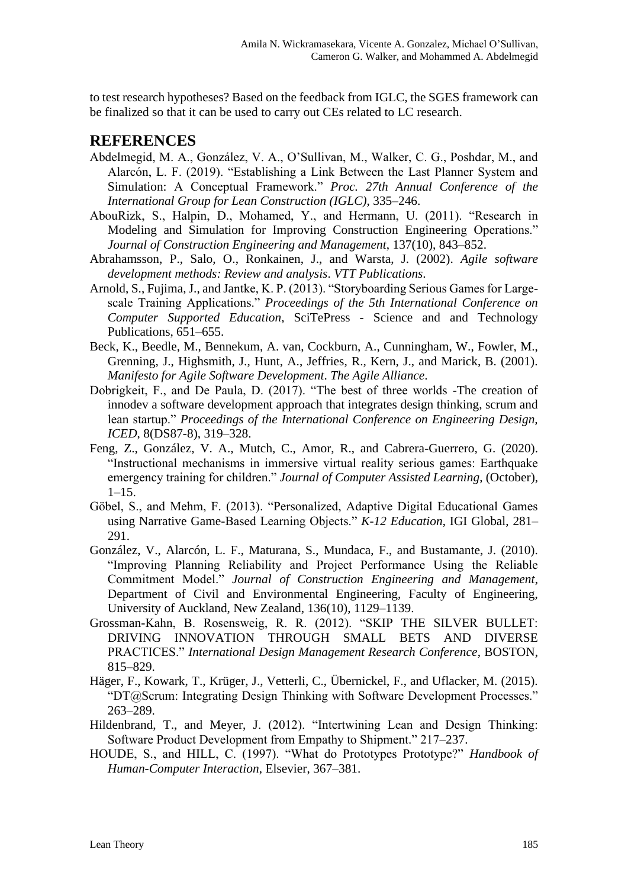to test research hypotheses? Based on the feedback from IGLC, the SGES framework can be finalized so that it can be used to carry out CEs related to LC research.

## **REFERENCES**

- Abdelmegid, M. A., González, V. A., O'Sullivan, M., Walker, C. G., Poshdar, M., and Alarcón, L. F. (2019). "Establishing a Link Between the Last Planner System and Simulation: A Conceptual Framework." *Proc. 27th Annual Conference of the International Group for Lean Construction (IGLC)*, 335–246.
- AbouRizk, S., Halpin, D., Mohamed, Y., and Hermann, U. (2011). "Research in Modeling and Simulation for Improving Construction Engineering Operations." *Journal of Construction Engineering and Management*, 137(10), 843–852.
- Abrahamsson, P., Salo, O., Ronkainen, J., and Warsta, J. (2002). *Agile software development methods: Review and analysis*. *VTT Publications*.
- Arnold, S., Fujima, J., and Jantke, K. P. (2013). "Storyboarding Serious Games for Largescale Training Applications." *Proceedings of the 5th International Conference on Computer Supported Education*, SciTePress - Science and and Technology Publications, 651–655.
- Beck, K., Beedle, M., Bennekum, A. van, Cockburn, A., Cunningham, W., Fowler, M., Grenning, J., Highsmith, J., Hunt, A., Jeffries, R., Kern, J., and Marick, B. (2001). *Manifesto for Agile Software Development*. *The Agile Alliance*.
- Dobrigkeit, F., and De Paula, D. (2017). "The best of three worlds -The creation of innodev a software development approach that integrates design thinking, scrum and lean startup." *Proceedings of the International Conference on Engineering Design, ICED*, 8(DS87-8), 319–328.
- Feng, Z., González, V. A., Mutch, C., Amor, R., and Cabrera-Guerrero, G. (2020). "Instructional mechanisms in immersive virtual reality serious games: Earthquake emergency training for children." *Journal of Computer Assisted Learning*, (October),  $1-15.$
- Göbel, S., and Mehm, F. (2013). "Personalized, Adaptive Digital Educational Games using Narrative Game-Based Learning Objects." *K-12 Education*, IGI Global, 281– 291.
- González, V., Alarcón, L. F., Maturana, S., Mundaca, F., and Bustamante, J. (2010). "Improving Planning Reliability and Project Performance Using the Reliable Commitment Model." *Journal of Construction Engineering and Management*, Department of Civil and Environmental Engineering, Faculty of Engineering, University of Auckland, New Zealand, 136(10), 1129–1139.
- Grossman-Kahn, B. Rosensweig, R. R. (2012). "SKIP THE SILVER BULLET: DRIVING INNOVATION THROUGH SMALL BETS AND DIVERSE PRACTICES." *International Design Management Research Conference*, BOSTON, 815–829.
- Häger, F., Kowark, T., Krüger, J., Vetterli, C., Übernickel, F., and Uflacker, M. (2015). "DT@Scrum: Integrating Design Thinking with Software Development Processes." 263–289.
- Hildenbrand, T., and Meyer, J. (2012). "Intertwining Lean and Design Thinking: Software Product Development from Empathy to Shipment." 217–237.
- HOUDE, S., and HILL, C. (1997). "What do Prototypes Prototype?" *Handbook of Human-Computer Interaction*, Elsevier, 367–381.